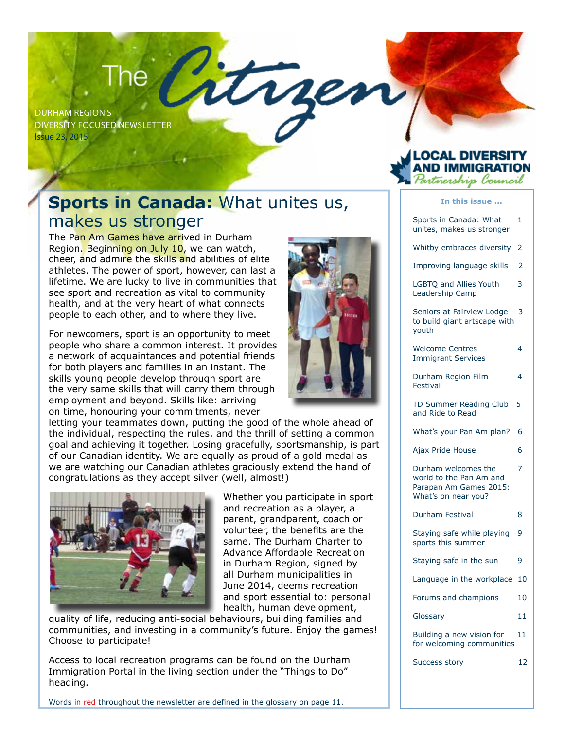# The Citrre

Durham Region's Diversity Focused Newsletter Issue 23, 2015

## **Sports in Canada:** What unites us, makes us stronger

The Pan Am Games have arrived in Durham Region. Beginning on July 10, we can watch, cheer, and admire the skills and abilities of elite athletes. The power of sport, however, can last a lifetime. We are lucky to live in communities that see sport and recreation as vital to community health, and at the very heart of what connects people to each other, and to where they live.

For newcomers, sport is an opportunity to meet people who share a common interest. It provides a network of acquaintances and potential friends for both players and families in an instant. The skills young people develop through sport are the very same skills that will carry them through employment and beyond. Skills like: arriving on time, honouring your commitments, never

letting your teammates down, putting the good of the whole ahead of the individual, respecting the rules, and the thrill of setting a common goal and achieving it together. Losing gracefully, sportsmanship, is part of our Canadian identity. We are equally as proud of a gold medal as we are watching our Canadian athletes graciously extend the hand of congratulations as they accept silver (well, almost!)



Whether you participate in sport and recreation as a player, a parent, grandparent, coach or volunteer, the benefits are the same. The Durham Charter to Advance Affordable Recreation in Durham Region, signed by all Durham municipalities in June 2014, deems recreation and sport essential to: personal health, human development,

quality of life, reducing anti-social behaviours, building families and communities, and investing in a community's future. Enjoy the games! Choose to participate!

Access to local recreation programs can be found on the Durham Immigration Portal in the living section under the "Things to Do" heading.

Words in red throughout the newsletter are defined in the glossary on page 11.



## OCAL DIVERS. rtnership Council

#### **In this issue ...**

| Sports in Canada: What<br>unites, makes us stronger                                             | 1              |
|-------------------------------------------------------------------------------------------------|----------------|
| Whitby embraces diversity                                                                       | 2              |
| Improving language skills                                                                       | 2              |
| LGBTQ and Allies Youth<br>Leadership Camp                                                       | 3              |
| Seniors at Fairview Lodge<br>to build giant artscape with<br>youth                              | 3              |
| <b>Welcome Centres</b><br><b>Immigrant Services</b>                                             | 4              |
| Durham Region Film<br>Festival                                                                  | 4              |
| TD Summer Reading Club<br>and Ride to Read                                                      | 5              |
| What's your Pan Am plan?                                                                        | 6              |
| Ajax Pride House                                                                                | 6              |
| Durham welcomes the<br>world to the Pan Am and<br>Parapan Am Games 2015:<br>What's on near you? | $\overline{z}$ |
| Durham Festival                                                                                 | 8              |
| Staying safe while playing<br>sports this summer                                                | 9              |
| Staying safe in the sun                                                                         | 9              |
| Language in the workplace                                                                       | 10             |
| Forums and champions                                                                            | 10             |
| Glossary                                                                                        | 11             |
| Building a new vision for<br>for welcoming communities                                          | 11             |
| <b>Success story</b>                                                                            | 12             |
|                                                                                                 |                |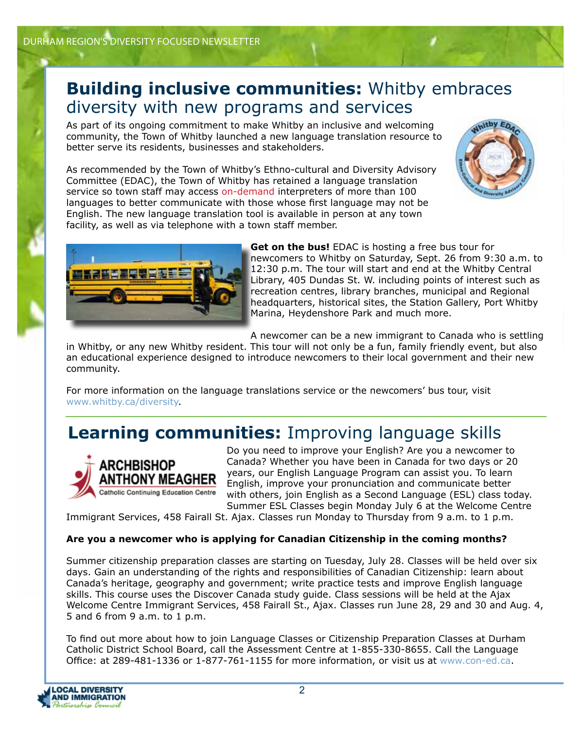## **Building inclusive communities:** Whitby embraces diversity with new programs and services

As part of its ongoing commitment to make Whitby an inclusive and welcoming community, the Town of Whitby launched a new language translation resource to better serve its residents, businesses and stakeholders.

As recommended by the Town of Whitby's Ethno-cultural and Diversity Advisory Committee (EDAC), the Town of Whitby has retained a language translation service so town staff may access on-demand interpreters of more than 100 languages to better communicate with those whose first language may not be English. The new language translation tool is available in person at any town facility, as well as via telephone with a town staff member.





**Get on the bus!** EDAC is hosting a free bus tour for newcomers to Whitby on Saturday, Sept. 26 from 9:30 a.m. to 12:30 p.m. The tour will start and end at the Whitby Central Library, 405 Dundas St. W. including points of interest such as recreation centres, library branches, municipal and Regional headquarters, historical sites, the Station Gallery, Port Whitby Marina, Heydenshore Park and much more.

A newcomer can be a new immigrant to Canada who is settling

in Whitby, or any new Whitby resident. This tour will not only be a fun, family friendly event, but also an educational experience designed to introduce newcomers to their local government and their new community.

For more information on the language translations service or the newcomers' bus tour, visit www.whitby.ca/diversity.

## **Learning communities:** Improving language skills



Do you need to improve your English? Are you a newcomer to Canada? Whether you have been in Canada for two days or 20 years, our English Language Program can assist you. To learn English, improve your pronunciation and communicate better with others, join English as a Second Language (ESL) class today. Summer ESL Classes begin Monday July 6 at the Welcome Centre

Immigrant Services, 458 Fairall St. Ajax. Classes run Monday to Thursday from 9 a.m. to 1 p.m.

### **Are you a newcomer who is applying for Canadian Citizenship in the coming months?**

Summer citizenship preparation classes are starting on Tuesday, July 28. Classes will be held over six days. Gain an understanding of the rights and responsibilities of Canadian Citizenship: learn about Canada's heritage, geography and government; write practice tests and improve English language skills. This course uses the Discover Canada study guide. Class sessions will be held at the Ajax Welcome Centre Immigrant Services, 458 Fairall St., Ajax. Classes run June 28, 29 and 30 and Aug. 4, 5 and 6 from 9 a.m. to 1 p.m.

To find out more about how to join Language Classes or Citizenship Preparation Classes at Durham Catholic District School Board, call the Assessment Centre at 1-855-330-8655. Call the Language Office: at 289-481-1336 or 1-877-761-1155 for more information, or visit us at www.con-ed.ca.

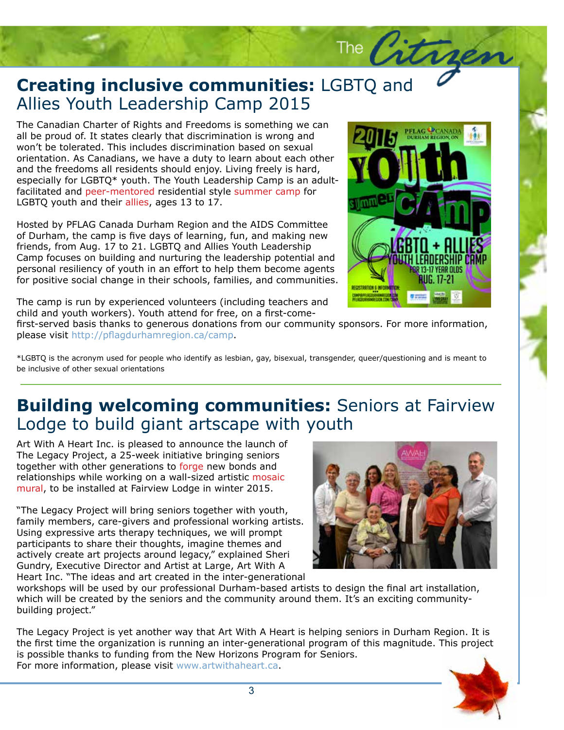## **Creating inclusive communities:**<br>Allies Youth Leadership Camp 2015 **Creating inclusive communities:** LGBTQ and

The Canadian Charter of Rights and Freedoms is something we can<br>all be proud of. It states clearly that discrimination is wrong and all be proud of. It states clearly that discrimination is wrong and won't be tolerated. This includes discrimination based on sexual orientation. As Canadians, we have a duty to learn about each other and the freedoms all residents should enjoy. Living freely is hard, especially for LGBTQ\* youth. The Youth Leadership Camp is an adultfacilitated and peer-mentored residential style summer camp for LGBTQ youth and their allies, ages 13 to 17.

Hosted by PFLAG Canada Durham Region and the AIDS Committee of Durham, the camp is five days of learning, fun, and making new friends, from Aug. 17 to 21. LGBTQ and Allies Youth Leadership Camp focuses on building and nurturing the leadership potential and personal resiliency of youth in an effort to help them become agents for positive social change in their schools, families, and communities.



The  $\sqrt{d\tau}$ 

The camp is run by experienced volunteers (including teachers and child and youth workers). Youth attend for free, on a first-come-

nsors. For more information, first-served basis thanks to generous donations from our community sponsors. For more information, please visit http://pflagdurhamregion.ca/camp.

\*LGBTQ is the acronym used for people who identify as lesbian, gay, bisexual, transgender, queer/questioning and is meant to be inclusive of other sexual orientations

## **Building welcoming communities:** Seniors at Fairview Lodge to build giant artscape with youth

Art With A Heart Inc. is pleased to announce the launch of The Legacy Project, a 25-week initiative bringing seniors together with other generations to forge new bonds and relationships while working on a wall-sized artistic mosaic mural, to be installed at Fairview Lodge in winter 2015.

"The Legacy Project will bring seniors together with youth, family members, care-givers and professional working artists. Using expressive arts therapy techniques, we will prompt participants to share their thoughts, imagine themes and actively create art projects around legacy," explained Sheri Gundry, Executive Director and Artist at Large, Art With A Heart Inc. "The ideas and art created in the inter-generational



workshops will be used by our professional Durham-based artists to design the final art installation, which will be created by the seniors and the community around them. It's an exciting communitybuilding project."

The Legacy Project is yet another way that Art With A Heart is helping seniors in Durham Region. It is the first time the organization is running an inter-generational program of this magnitude. This project is possible thanks to funding from the New Horizons Program for Seniors. For more information, please visit www.artwithaheart.ca.

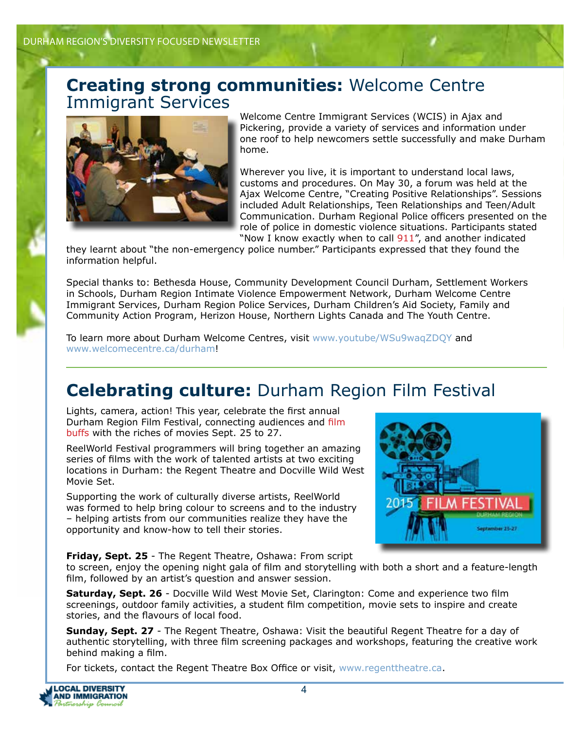## **Creating strong communities:** Welcome Centre Immigrant Services



Welcome Centre Immigrant Services (WCIS) in Ajax and Pickering, provide a variety of services and information under one roof to help newcomers settle successfully and make Durham home.

Wherever you live, it is important to understand local laws, customs and procedures. On May 30, a forum was held at the Ajax Welcome Centre, "Creating Positive Relationships". Sessions included Adult Relationships, Teen Relationships and Teen/Adult Communication. Durham Regional Police officers presented on the role of police in domestic violence situations. Participants stated "Now I know exactly when to call 911", and another indicated

they learnt about "the non-emergency police number." Participants expressed that they found the information helpful.

Special thanks to: Bethesda House, Community Development Council Durham, Settlement Workers in Schools, Durham Region Intimate Violence Empowerment Network, Durham Welcome Centre Immigrant Services, Durham Region Police Services, Durham Children's Aid Society, Family and Community Action Program, Herizon House, Northern Lights Canada and The Youth Centre.

To learn more about Durham Welcome Centres, visit www.youtube/WSu9waqZDQY and www.welcomecentre.ca/durham!

## **Celebrating culture:** Durham Region Film Festival

Lights, camera, action! This year, celebrate the first annual Durham Region Film Festival, connecting audiences and film buffs with the riches of movies Sept. 25 to 27.

ReelWorld Festival programmers will bring together an amazing series of films with the work of talented artists at two exciting locations in Durham: the Regent Theatre and Docville Wild West Movie Set.

Supporting the work of culturally diverse artists, ReelWorld was formed to help bring colour to screens and to the industry – helping artists from our communities realize they have the opportunity and know-how to tell their stories.



**Friday, Sept. 25** - The Regent Theatre, Oshawa: From script

to screen, enjoy the opening night gala of film and storytelling with both a short and a feature-length film, followed by an artist's question and answer session.

**Saturday, Sept. 26** - Docville Wild West Movie Set, Clarington: Come and experience two film screenings, outdoor family activities, a student film competition, movie sets to inspire and create stories, and the flavours of local food.

**Sunday, Sept. 27** - The Regent Theatre, Oshawa: Visit the beautiful Regent Theatre for a day of authentic storytelling, with three film screening packages and workshops, featuring the creative work behind making a film.

For tickets, contact the Regent Theatre Box Office or visit, www.regenttheatre.ca.

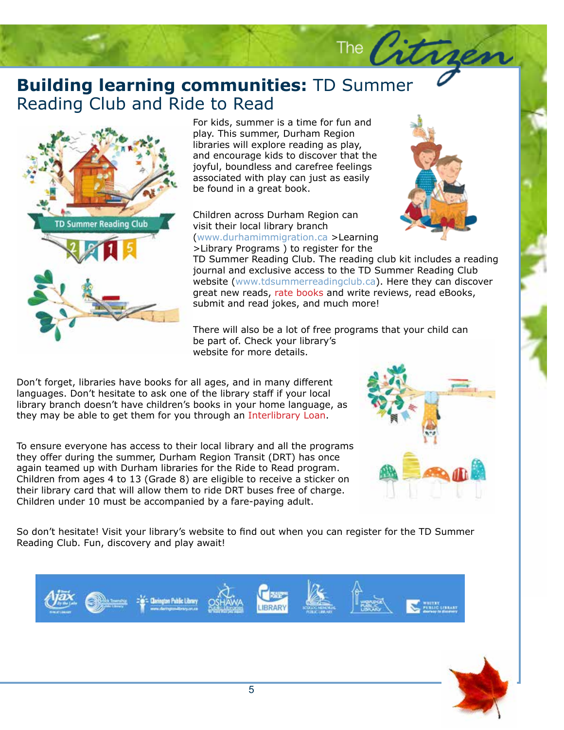## **Building learning communit**<br>Reading Club and Ride to Read **Building learning communities:** TD Summer



For kids, summer is a time for fun and<br>play. This summer, Durham Region play. This summer, Durham Region libraries will explore reading as play, and encourage kids to discover that the joyful, boundless and carefree feelings associated with play can just as easily be found in a great book.

Children across Durham Region can visit their local library branch (www.durhamimmigration.ca >Learning

>Library Programs ) to register for the



The  $\sqrt{2}$ 

TD Summer Reading Club<br>b.ca). Here they can discover<br>rite reviews, read eBooks,  $\frac{1}{100}$ ere. TD Summer Reading Club. The reading club kit includes a reading journal and exclusive access to the TD Summer Reading Club website (www.tdsummerreadingclub.ca). Here they can discover great new reads, rate books and write reviews, read eBooks, submit and read jokes, and much more!

There will also be a lot of free programs that your child can be part of. Check your library's website for more details.

Don't forget, libraries have books for all ages, and in many different languages. Don't hesitate to ask one of the library staff if your local library branch doesn't have children's books in your home language, as they may be able to get them for you through an Interlibrary Loan.

To ensure everyone has access to their local library and all the programs they offer during the summer, Durham Region Transit (DRT) has once again teamed up with Durham libraries for the Ride to Read program. Children from ages 4 to 13 (Grade 8) are eligible to receive a sticker on their library card that will allow them to ride DRT buses free of charge. Children under 10 must be accompanied by a fare-paying adult.



So don't hesitate! Visit your library's website to find out when you can register for the TD Summer Reading Club. Fun, discovery and play await!



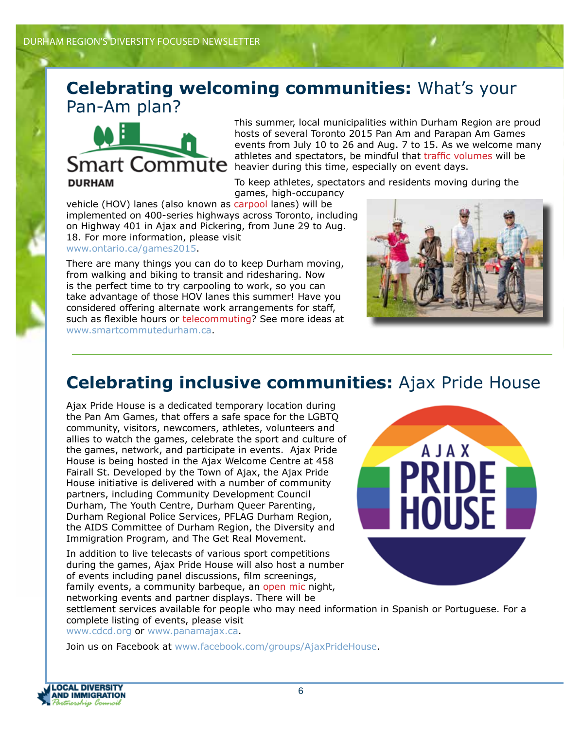## **Celebrating welcoming communities:** What's your Pan-Am plan?



This summer, local municipalities within Durham Region are proud hosts of several Toronto 2015 Pan Am and Parapan Am Games events from July 10 to 26 and Aug. 7 to 15. As we welcome many athletes and spectators, be mindful that traffic volumes will be **Smart Commute** atmetes and spectators, be immuted trainchorder and concern days.

To keep athletes, spectators and residents moving during the

games, high-occupancy vehicle (HOV) lanes (also known as carpool lanes) will be implemented on 400-series highways across Toronto, including on Highway 401 in Ajax and Pickering, from June 29 to Aug. 18. For more information, please visit www.ontario.ca/games2015.

There are many things you can do to keep Durham moving, from walking and biking to transit and ridesharing. Now is the perfect time to try carpooling to work, so you can take advantage of those HOV lanes this summer! Have you considered offering alternate work arrangements for staff, such as flexible hours or telecommuting? See more ideas at www.smartcommutedurham.ca.



## **Celebrating inclusive communities:** Ajax Pride House

Ajax Pride House is a dedicated temporary location during the Pan Am Games, that offers a safe space for the LGBTQ community, visitors, newcomers, athletes, volunteers and allies to watch the games, celebrate the sport and culture of the games, network, and participate in events. Ajax Pride House is being hosted in the Ajax Welcome Centre at 458 Fairall St. Developed by the Town of Ajax, the Ajax Pride House initiative is delivered with a number of community partners, including Community Development Council Durham, The Youth Centre, Durham Queer Parenting, Durham Regional Police Services, PFLAG Durham Region, the AIDS Committee of Durham Region, the Diversity and Immigration Program, and The Get Real Movement.

In addition to live telecasts of various sport competitions during the games, Ajax Pride House will also host a number of events including panel discussions, film screenings, family events, a community barbeque, an open mic night, networking events and partner displays. There will be



settlement services available for people who may need information in Spanish or Portuguese. For a complete listing of events, please visit

www.cdcd.org or www.panamajax.ca.

Join us on Facebook at www.facebook.com/groups/AjaxPrideHouse.

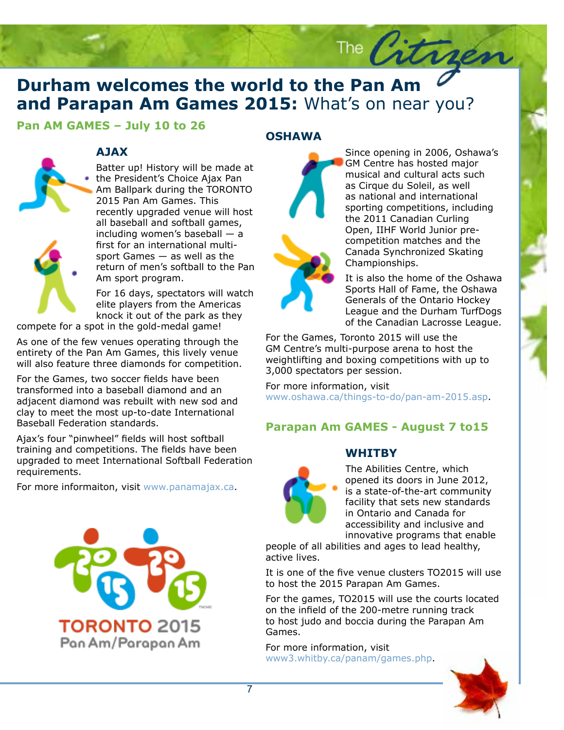## **Durham welcomes the world to the Pan Am**  $\sim$  **and Parapan Am Games 2015:** What's on near you?

### **Pan AM GAMES – July 10 to 26**



### **AJAX**

Batter up! History will be made at • the President's Choice Ajax Pan Am Ballpark during the TORONTO 2015 Pan Am Games. This recently upgraded venue will host all baseball and softball games, including women's baseball — a first for an international multisport Games — as well as the return of men's softball to the Pan Am sport program.

For 16 days, spectators will watch elite players from the Americas knock it out of the park as they

compete for a spot in the gold-medal game!

As one of the few venues operating through the entirety of the Pan Am Games, this lively venue will also feature three diamonds for competition.

For the Games, two soccer fields have been transformed into a baseball diamond and an adjacent diamond was rebuilt with new sod and clay to meet the most up-to-date International Baseball Federation standards.

Ajax's four "pinwheel" fields will host softball training and competitions. The fields have been upgraded to meet International Softball Federation requirements.

For more informaiton, visit www.panamajax.ca.



### **OSHAWA**



Since opening in 2006, Oshawa's GM Centre has hosted major musical and cultural acts such as Cirque du Soleil, as well as national and international sporting competitions, including the 2011 Canadian Curling Open, IIHF World Junior precompetition matches and the Canada Synchronized Skating Championships.

It is also the home of the Oshawa Sports Hall of Fame, the Oshawa Generals of the Ontario Hockey League and the Durham TurfDogs of the Canadian Lacrosse League.

For the Games, Toronto 2015 will use the GM Centre's multi-purpose arena to host the weightlifting and boxing competitions with up to 3,000 spectators per session.

The  $\sqrt{3}$ 

For more information, visit www.oshawa.ca/things-to-do/pan-am-2015.asp.

### **Parapan Am GAMES - August 7 to15**

### **WHITBY**



The Abilities Centre, which opened its doors in June 2012, is a state-of-the-art community facility that sets new standards in Ontario and Canada for accessibility and inclusive and innovative programs that enable

people of all abilities and ages to lead healthy, active lives.

It is one of the five venue clusters TO2015 will use to host the 2015 Parapan Am Games.

For the games, TO2015 will use the courts located on the infield of the 200-metre running track to host judo and boccia during the Parapan Am Games.

For more information, visit www3.whitby.ca/panam/games.php.

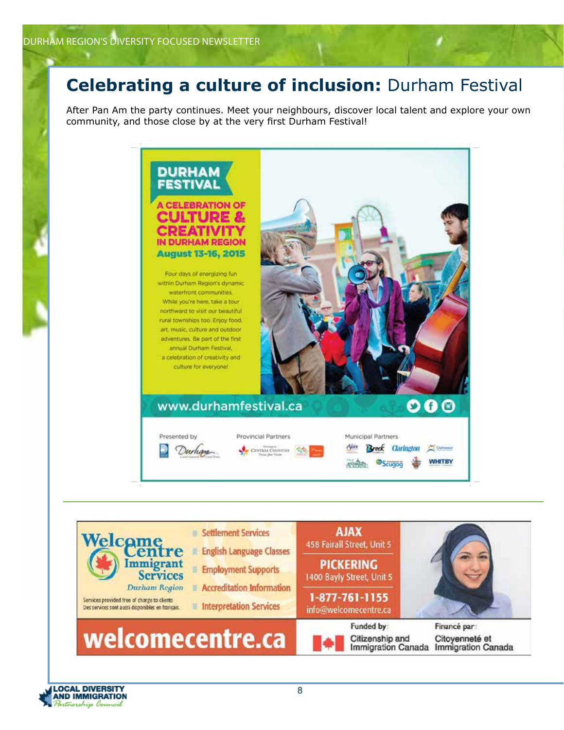## **Celebrating a culture of inclusion:** Durham Festival

After Pan Am the party continues. Meet your neighbours, discover local talent and explore your own community, and those close by at the very first Durham Festival!





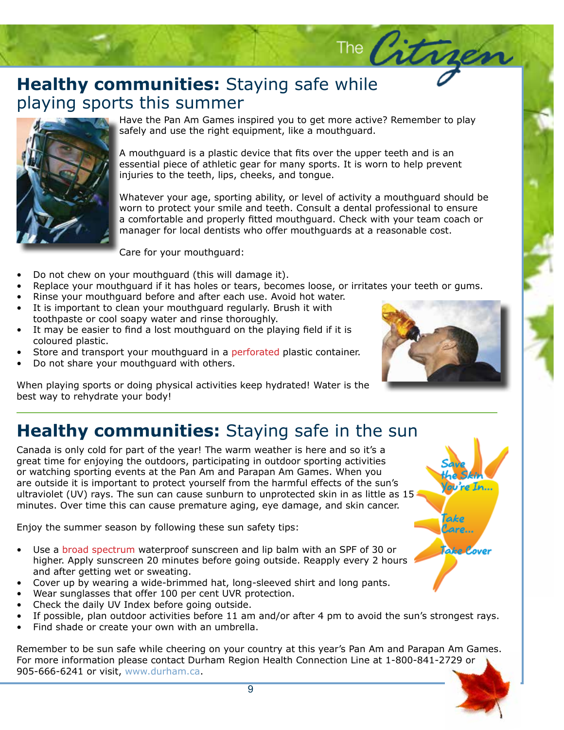## **Healthy communities:** Staying safe while playing sports this summer playing sports this summer



Have the Pan Am Games inspired you to get more active<br>safely and use the right equipment, like a mouthguard. Have the Pan Am Games inspired you to get more active? Remember to play

A mouthguard is a plastic device that fits over the upper teeth and is an essential piece of athletic gear for many sports. It is worn to help prevent injuries to the teeth, lips, cheeks, and tongue.

Whatever your age, sporting ability, or level of activity a mouthguard should be noth to protect your simile and teach consult a dollar protessional to ensure<br>a comfortable and properly fitted mouthguard. Check with your team coach or manager for local dentists who offer mouthguards at a reasonable cost. worn to protect your smile and teeth. Consult a dental professional to ensure

Care for your mouthguard:

- enim, tincidunt at, aliquet in, ultrices ut, leo. Sed condimentum vulputate libero. • Do not chew on your mouthguard (this will damage it).
- rritates your teeth or gums. • Replace your mouthguard if it has holes or tears, becomes loose, or irritates your teeth or gums.
- Rinse your mouthguard in this holes of early secomes rossey of Rinse your mouthguard before and after each use. Avoid hot water.
- It is important to clean your mouthguard regularly. Brush it with toothpaste or cool soapy water and rinse thoroughly.
- It may be easier to find a lost mouthguard on the playing field if it is coloured plastic.
- Store and transport your mouthguard in a perforated plastic container.
- Do not share your mouthguard with others.

When playing sports or doing physical activities keep hydrated! Water is the best way to rehydrate your body!



The Citr

## **Healthy communities:** Staying safe in the sun

Canada is only cold for part of the year! The warm weather is here and so it's a great time for enjoying the outdoors, participating in outdoor sporting activities or watching sporting events at the Pan Am and Parapan Am Games. When you are outside it is important to protect yourself from the harmful effects of the sun's ultraviolet (UV) rays. The sun can cause sunburn to unprotected skin in as little as 15 minutes. Over time this can cause premature aging, eye damage, and skin cancer.

Enjoy the summer season by following these sun safety tips:

- Use a broad spectrum waterproof sunscreen and lip balm with an SPF of 30 or higher. Apply sunscreen 20 minutes before going outside. Reapply every 2 hours and after getting wet or sweating.
- Cover up by wearing a wide-brimmed hat, long-sleeved shirt and long pants.
- Wear sunglasses that offer 100 per cent UVR protection.
- Check the daily UV Index before going outside.
- If possible, plan outdoor activities before 11 am and/or after 4 pm to avoid the sun's strongest rays.
- Find shade or create your own with an umbrella.

Remember to be sun safe while cheering on your country at this year's Pan Am and Parapan Am Games. For more information please contact Durham Region Health Connection Line at 1-800-841-2729 or 905-666-6241 or visit, www.durham.ca.

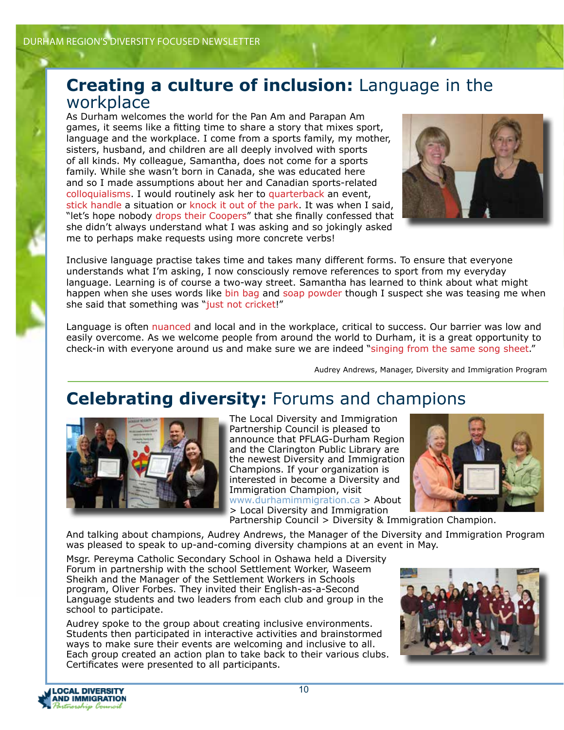## **Creating a culture of inclusion:** Language in the workplace

As Durham welcomes the world for the Pan Am and Parapan Am games, it seems like a fitting time to share a story that mixes sport, language and the workplace. I come from a sports family, my mother, sisters, husband, and children are all deeply involved with sports of all kinds. My colleague, Samantha, does not come for a sports family. While she wasn't born in Canada, she was educated here and so I made assumptions about her and Canadian sports-related colloquialisms. I would routinely ask her to quarterback an event, stick handle a situation or knock it out of the park. It was when I said, "let's hope nobody drops their Coopers" that she finally confessed that she didn't always understand what I was asking and so jokingly asked me to perhaps make requests using more concrete verbs!



Inclusive language practise takes time and takes many different forms. To ensure that everyone understands what I'm asking, I now consciously remove references to sport from my everyday language. Learning is of course a two-way street. Samantha has learned to think about what might happen when she uses words like bin bag and soap powder though I suspect she was teasing me when she said that something was "just not cricket!"

Language is often nuanced and local and in the workplace, critical to success. Our barrier was low and easily overcome. As we welcome people from around the world to Durham, it is a great opportunity to check-in with everyone around us and make sure we are indeed "singing from the same song sheet."

Audrey Andrews, Manager, Diversity and Immigration Program

## **Celebrating diversity:** Forums and champions



The Local Diversity and Immigration Partnership Council is pleased to announce that PFLAG-Durham Region and the Clarington Public Library are the newest Diversity and Immigration Champions. If your organization is interested in become a Diversity and Immigration Champion, visit ww.durhamimmigration.ca > About > Local Diversity and Immigration



Partnership Council > Diversity & Immigration Champion.

And talking about champions, Audrey Andrews, the Manager of the Diversity and Immigration Program was pleased to speak to up-and-coming diversity champions at an event in May.

Msgr. Pereyma Catholic Secondary School in Oshawa held a Diversity Forum in partnership with the school Settlement Worker, Waseem Sheikh and the Manager of the Settlement Workers in Schools program, Oliver Forbes. They invited their English-as-a-Second Language students and two leaders from each club and group in the school to participate.

Audrey spoke to the group about creating inclusive environments. Students then participated in interactive activities and brainstormed ways to make sure their events are welcoming and inclusive to all. Each group created an action plan to take back to their various clubs. Certificates were presented to all participants.



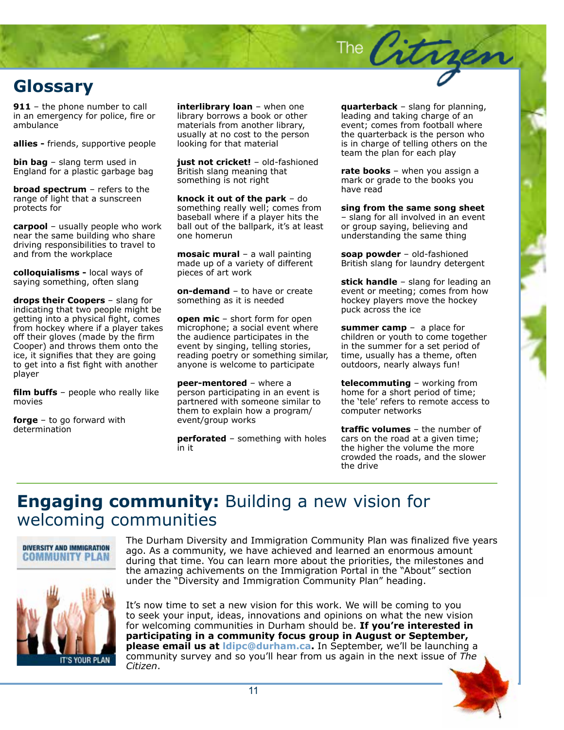

**911** – the phone number to call in an emergency for police, fire or ambulance

**allies -** friends, supportive people

**bin bag** – slang term used in England for a plastic garbage bag

**broad spectrum** – refers to the range of light that a sunscreen protects for

**carpool** – usually people who work near the same building who share driving responsibilities to travel to and from the workplace

**colloquialisms -** local ways of saying something, often slang

**drops their Coopers** – slang for indicating that two people might be getting into a physical fight, comes from hockey where if a player takes off their gloves (made by the firm Cooper) and throws them onto the ice, it signifies that they are going to get into a fist fight with another player

**film buffs** - people who really like movies

**forge** – to go forward with determination

**interlibrary loan** – when one library borrows a book or other materials from another library, usually at no cost to the person looking for that material

**just not cricket!** – old-fashioned British slang meaning that something is not right

**knock it out of the park** – do something really well; comes from baseball where if a player hits the ball out of the ballpark, it's at least one homerun

**mosaic mural** – a wall painting made up of a variety of different pieces of art work

**on-demand** – to have or create something as it is needed

**open mic** – short form for open microphone; a social event where the audience participates in the event by singing, telling stories, reading poetry or something similar, anyone is welcome to participate

**peer-mentored** – where a person participating in an event is partnered with someone similar to them to explain how a program/ event/group works

**perforated** – something with holes in it

**quarterback** – slang for planning, leading and taking charge of an event; comes from football where the quarterback is the person who is in charge of telling others on the team the plan for each play

The Citrge

**rate books** – when you assign a mark or grade to the books you have read

**sing from the same song sheet**  – slang for all involved in an event or group saying, believing and understanding the same thing

**soap powder** – old-fashioned British slang for laundry detergent

**stick handle** – slang for leading an event or meeting; comes from how hockey players move the hockey puck across the ice

**summer camp** – a place for children or youth to come together in the summer for a set period of time, usually has a theme, often outdoors, nearly always fun!

**telecommuting** – working from home for a short period of time; the 'tele' refers to remote access to computer networks

**traffic volumes** – the number of cars on the road at a given time; the higher the volume the more crowded the roads, and the slower the drive

## **Engaging community:** Building a new vision for welcoming communities



The Durham Diversity and Immigration Community Plan was finalized five years ago. As a community, we have achieved and learned an enormous amount during that time. You can learn more about the priorities, the milestones and the amazing achivements on the Immigration Portal in the "About" section under the "Diversity and Immigration Community Plan" heading.



It's now time to set a new vision for this work. We will be coming to you to seek your input, ideas, innovations and opinions on what the new vision for welcoming communities in Durham should be. **If you're interested in participating in a community focus group in August or September, please email us at ldipc@durham.ca.** In September, we'll be launching a community survey and so you'll hear from us again in the next issue of *The Citizen*.